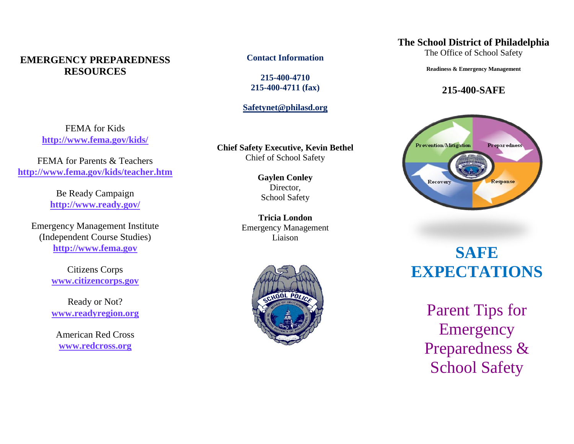#### **EMERGENCY PREPAREDNESS RESOURCES**

FEMA for Kids **<http://www.fema.gov/kids/>**

FEMA for Parents & Teachers **<http://www.fema.gov/kids/teacher.htm>**

> Be Ready Campaign **<http://www.ready.gov/>**

Emergency Management Institute (Independent Course Studies) **[http://www.fema.gov](http://www.fema.gov/)**

> Citizens Corps **[www.citizencorps.gov](http://www.citizencorps.gov/)**

Ready or Not? **[www.readyregion.org](http://www.readyregion.org/)**

American Red Cross **[www.redcross.org](http://www.redcross.org/)**

**Contact Information**

**215-400-4710 215-400-4711 (fax)**

**[Safetynet@philasd.org](mailto:Safetynet@philasd.org)**

**Chief Safety Executive, Kevin Bethel** Chief of School Safety

> **Gaylen Conley** Director, School Safety

**Tricia London** Emergency Management Liaison



#### **The School District of Philadelphia**

The Office of School Safety

**Readiness & Emergency Management**

#### **215-400-SAFE**



## **SAFE EXPECTATIONS**

Parent Tips for **Emergency** Preparedness & School Safety